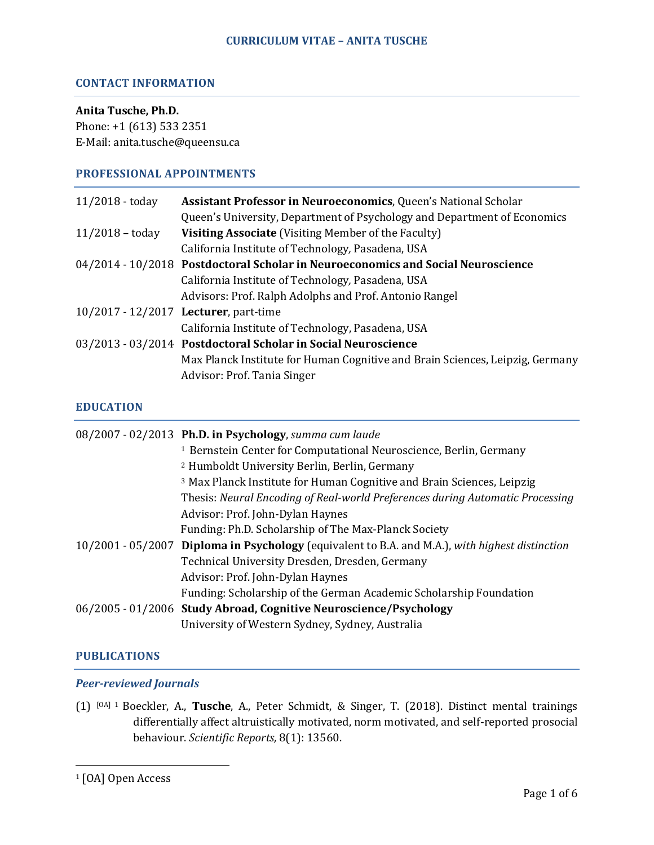### **CONTACT INFORMATION**

#### **Anita Tusche, Ph.D.**

Phone: +1 (613) 533 2351 E-Mail: anita.tusche@queensu.ca

## **PROFESSIONAL APPOINTMENTS**

| 11/2018 - today   | Assistant Professor in Neuroeconomics, Queen's National Scholar                  |
|-------------------|----------------------------------------------------------------------------------|
|                   | Queen's University, Department of Psychology and Department of Economics         |
| $11/2018 -$ today | <b>Visiting Associate</b> (Visiting Member of the Faculty)                       |
|                   | California Institute of Technology, Pasadena, USA                                |
|                   | 04/2014 - 10/2018 Postdoctoral Scholar in Neuroeconomics and Social Neuroscience |
|                   | California Institute of Technology, Pasadena, USA                                |
|                   | Advisors: Prof. Ralph Adolphs and Prof. Antonio Rangel                           |
|                   | 10/2017 - 12/2017 Lecturer, part-time                                            |
|                   | California Institute of Technology, Pasadena, USA                                |
|                   | 03/2013 - 03/2014 Postdoctoral Scholar in Social Neuroscience                    |
|                   | Max Planck Institute for Human Cognitive and Brain Sciences, Leipzig, Germany    |
|                   | Advisor: Prof. Tania Singer                                                      |
|                   |                                                                                  |

## **EDUCATION**

| 08/2007 - 02/2013 Ph.D. in Psychology, summa cum laude                                          |
|-------------------------------------------------------------------------------------------------|
| <sup>1</sup> Bernstein Center for Computational Neuroscience, Berlin, Germany                   |
| <sup>2</sup> Humboldt University Berlin, Berlin, Germany                                        |
| <sup>3</sup> Max Planck Institute for Human Cognitive and Brain Sciences, Leipzig               |
| Thesis: Neural Encoding of Real-world Preferences during Automatic Processing                   |
| Advisor: Prof. John-Dylan Haynes                                                                |
| Funding: Ph.D. Scholarship of The Max-Planck Society                                            |
| 10/2001 - 05/2007 Diploma in Psychology (equivalent to B.A. and M.A.), with highest distinction |
| Technical University Dresden, Dresden, Germany                                                  |
| Advisor: Prof. John-Dylan Haynes                                                                |
| Funding: Scholarship of the German Academic Scholarship Foundation                              |
| 06/2005 - 01/2006 Study Abroad, Cognitive Neuroscience/Psychology                               |
| University of Western Sydney, Sydney, Australia                                                 |

## **PUBLICATIONS**

#### **Peer-reviewed Journals**

 

(1) [OA] <sup>1</sup> Boeckler, A., **Tusche**, A., Peter Schmidt, & Singer, T. (2018). Distinct mental trainings differentially affect altruistically motivated, norm motivated, and self-reported prosocial behaviour. *Scientific Reports,* 8(1): 13560.

<sup>&</sup>lt;sup>1</sup> [OA] Open Access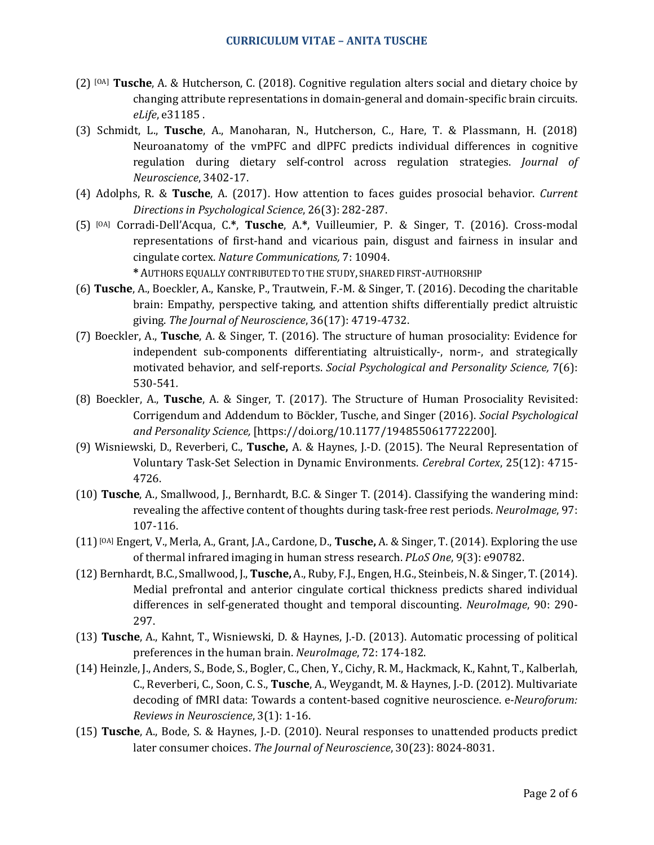- (2) [OA] **Tusche**, A. & Hutcherson, C. (2018). Cognitive regulation alters social and dietary choice by changing attribute representations in domain-general and domain-specific brain circuits. *eLife*, e31185.
- (3) Schmidt, L., **Tusche**, A., Manoharan, N., Hutcherson, C., Hare, T. & Plassmann, H. (2018) Neuroanatomy of the vmPFC and dlPFC predicts individual differences in cognitive regulation during dietary self-control across regulation strategies. *Journal of Neuroscience*, 3402-17.
- (4) Adolphs, R. & **Tusche**, A. (2017). How attention to faces guides prosocial behavior. *Current Directions in Psychological Science*, 26(3): 282-287.
- (5) [OA] Corradi-Dell'Acqua, C.**\***, **Tusche**, A.**\***, Vuilleumier, P. & Singer, T. (2016). Cross-modal representations of first-hand and vicarious pain, disgust and fairness in insular and cingulate cortex. *Nature Communications*, 7: 10904.

**\*** AUTHORS EQUALLY CONTRIBUTED TO THE STUDY, SHARED FIRST-AUTHORSHIP

- (6) **Tusche**, A., Boeckler, A., Kanske, P., Trautwein, F.-M. & Singer, T. (2016). Decoding the charitable brain: Empathy, perspective taking, and attention shifts differentially predict altruistic giving. The *Journal of Neuroscience*, 36(17): 4719-4732.
- (7) Boeckler, A., **Tusche**, A. & Singer, T. (2016). The structure of human prosociality: Evidence for independent sub-components differentiating altruistically-, norm-, and strategically motivated behavior, and self-reports. *Social Psychological and Personality Science*, 7(6): 530-541*.*
- (8) Boeckler, A., Tusche, A. & Singer, T. (2017). The Structure of Human Prosociality Revisited: Corrigendum and Addendum to Böckler, Tusche, and Singer (2016). *Social Psychological and Personality Science,* [https://doi.org/10.1177/1948550617722200]*.*
- (9) Wisniewski, D., Reverberi, C., **Tusche,** A. & Haynes, J.-D. (2015). The Neural Representation of Voluntary Task-Set Selection in Dynamic Environments. *Cerebral Cortex*, 25(12): 4715- 4726.
- (10) **Tusche**, A., Smallwood, J., Bernhardt, B.C. & Singer T. (2014). Classifying the wandering mind: revealing the affective content of thoughts during task-free rest periods. *NeuroImage*, 97: 107-116.
- $(11)$ <sup>[OA]</sup> Engert, V., Merla, A., Grant, J.A., Cardone, D., **Tusche,** A. & Singer, T. (2014). Exploring the use of thermal infrared imaging in human stress research. *PLoS One*, 9(3): e90782.
- (12) Bernhardt, B.C., Smallwood, J., **Tusche,** A., Ruby, F.J., Engen, H.G., Steinbeis, N. & Singer, T. (2014). Medial prefrontal and anterior cingulate cortical thickness predicts shared individual differences in self-generated thought and temporal discounting. *NeuroImage*, 90: 290-297.
- (13) **Tusche**, A., Kahnt, T., Wisniewski, D. & Haynes, J.-D. (2013). Automatic processing of political preferences in the human brain. *NeuroImage*, 72: 174-182.
- (14) Heinzle, J., Anders, S., Bode, S., Bogler, C., Chen, Y., Cichy, R. M., Hackmack, K., Kahnt, T., Kalberlah, C., Reverberi, C., Soon, C. S., Tusche, A., Weygandt, M. & Haynes, J.-D. (2012). Multivariate decoding of fMRI data: Towards a content-based cognitive neuroscience. e-*Neuroforum: Reviews in Neuroscience*, 3(1): 1-16.
- (15) **Tusche**, A., Bode, S. & Haynes, J.-D. (2010). Neural responses to unattended products predict later consumer choices. The *Journal of Neuroscience*, 30(23): 8024-8031.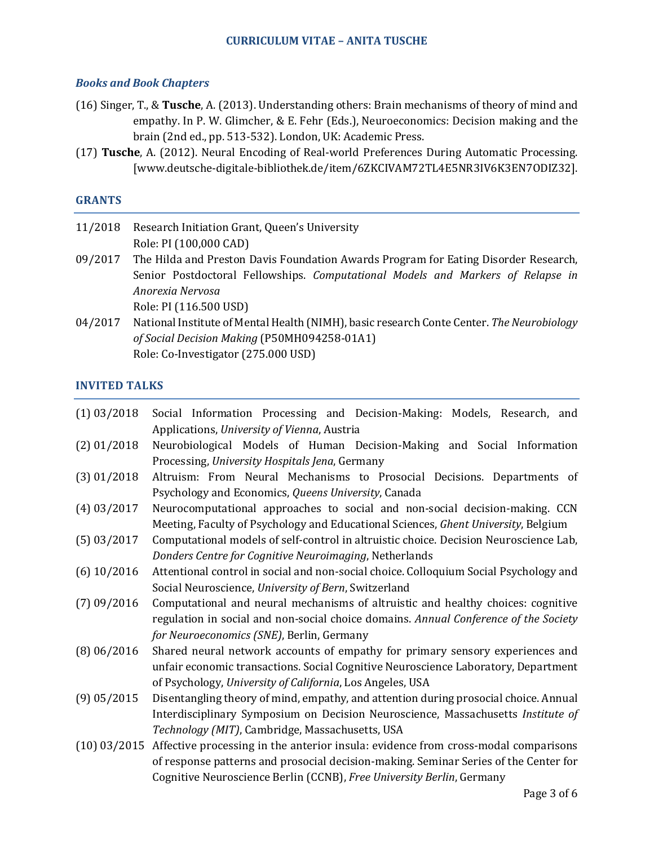## *Books and Book Chapters*

- (16) Singer, T., & Tusche, A. (2013). Understanding others: Brain mechanisms of theory of mind and empathy. In P. W. Glimcher, & E. Fehr (Eds.), Neuroeconomics: Decision making and the brain (2nd ed., pp. 513-532). London, UK: Academic Press.
- (17) Tusche, A. (2012). Neural Encoding of Real-world Preferences During Automatic Processing. [www.deutsche-digitale-bibliothek.de/item/6ZKCIVAM72TL4E5NR3IV6K3EN7ODIZ32].

#### **GRANTS**

- 11/2018 Research Initiation Grant, Queen's University Role: PI (100,000 CAD)
- 09/2017 The Hilda and Preston Davis Foundation Awards Program for Eating Disorder Research, Senior Postdoctoral Fellowships. *Computational Models and Markers of Relapse in Anorexia Nervosa* Role: PI (116.500 USD)
- 04/2017 National Institute of Mental Health (NIMH), basic research Conte Center. The Neurobiology *of Social Decision Making* (P50MH094258-01A1) Role: Co-Investigator (275.000 USD)

#### **INVITED TALKS**

| $(1)$ 03/2018 | Social Information Processing and Decision-Making: Models, Research, and                          |
|---------------|---------------------------------------------------------------------------------------------------|
|               | Applications, University of Vienna, Austria                                                       |
| $(2)$ 01/2018 | Neurobiological Models of Human Decision-Making and Social Information                            |
|               | Processing, University Hospitals Jena, Germany                                                    |
| $(3)$ 01/2018 | Altruism: From Neural Mechanisms to Prosocial Decisions. Departments of                           |
|               | Psychology and Economics, Queens University, Canada                                               |
| $(4)$ 03/2017 | Neurocomputational approaches to social and non-social decision-making. CCN                       |
|               | Meeting, Faculty of Psychology and Educational Sciences, Ghent University, Belgium                |
| $(5)$ 03/2017 | Computational models of self-control in altruistic choice. Decision Neuroscience Lab,             |
|               | Donders Centre for Cognitive Neuroimaging, Netherlands                                            |
| $(6)$ 10/2016 | Attentional control in social and non-social choice. Colloquium Social Psychology and             |
|               | Social Neuroscience, University of Bern, Switzerland                                              |
| $(7)$ 09/2016 | Computational and neural mechanisms of altruistic and healthy choices: cognitive                  |
|               | regulation in social and non-social choice domains. Annual Conference of the Society              |
|               | for Neuroeconomics (SNE), Berlin, Germany                                                         |
| $(8)$ 06/2016 | Shared neural network accounts of empathy for primary sensory experiences and                     |
|               | unfair economic transactions. Social Cognitive Neuroscience Laboratory, Department                |
|               | of Psychology, University of California, Los Angeles, USA                                         |
| $(9)$ 05/2015 | Disentangling theory of mind, empathy, and attention during prosocial choice. Annual              |
|               | Interdisciplinary Symposium on Decision Neuroscience, Massachusetts Institute of                  |
|               | Technology (MIT), Cambridge, Massachusetts, USA                                                   |
|               | $(10)$ 03/2015 Affective processing in the anterior insula: evidence from cross-modal comparisons |
|               | of response patterns and prosocial decision-making. Seminar Series of the Center for              |
|               | Cognitive Neuroscience Berlin (CCNB), Free University Berlin, Germany                             |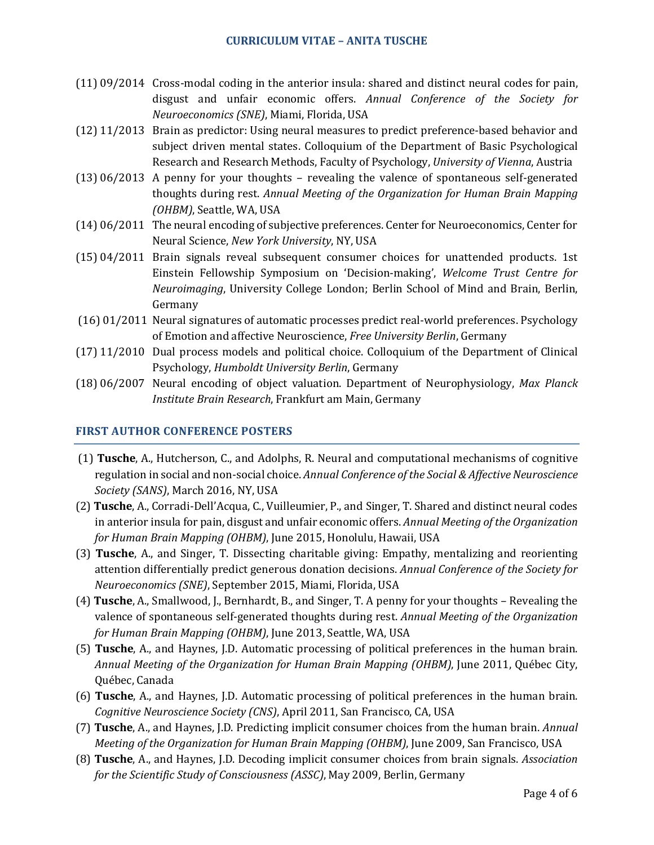### **CURRICULUM VITAE – ANITA TUSCHE**

- $(11)$  09/2014 Cross-modal coding in the anterior insula: shared and distinct neural codes for pain, disgust and unfair economic offers. Annual Conference of the Society for *Neuroeconomics (SNE)*, Miami, Florida, USA
- $(12) 11/2013$  Brain as predictor: Using neural measures to predict preference-based behavior and subject driven mental states. Colloquium of the Department of Basic Psychological Research and Research Methods, Faculty of Psychology, *University of Vienna*, Austria
- $(13)$  06/2013 A penny for your thoughts revealing the valence of spontaneous self-generated thoughts during rest. Annual Meeting of the Organization for Human Brain Mapping *(OHBM)*, Seattle, WA, USA
- (14) 06/2011 The neural encoding of subjective preferences. Center for Neuroeconomics, Center for Neural Science, *New York University*, NY, USA
- $(15)$  04/2011 Brain signals reveal subsequent consumer choices for unattended products. 1st Einstein Fellowship Symposium on 'Decision-making', *Welcome Trust Centre for Neuroimaging*, University College London; Berlin School of Mind and Brain, Berlin, Germany
- $(16)$  01/2011 Neural signatures of automatic processes predict real-world preferences. Psychology of Emotion and affective Neuroscience, *Free University Berlin*, Germany
- (17) 11/2010 Dual process models and political choice. Colloquium of the Department of Clinical Psychology, *Humboldt University Berlin*, Germany
- (18) 06/2007 Neural encoding of object valuation. Department of Neurophysiology, *Max Planck Institute Brain Research*, Frankfurt am Main, Germany

## **FIRST AUTHOR CONFERENCE POSTERS**

- (1) **Tusche**, A., Hutcherson, C., and Adolphs, R. Neural and computational mechanisms of cognitive regulation in social and non-social choice. Annual Conference of the Social & Affective Neuroscience *Society (SANS)*, March 2016, NY, USA
- (2) **Tusche**, A., Corradi-Dell'Acqua, C., Vuilleumier, P., and Singer, T. Shared and distinct neural codes in anterior insula for pain, disgust and unfair economic offers. *Annual Meeting of the Organization for Human Brain Mapping (OHBM)*, June 2015, Honolulu, Hawaii, USA
- (3) **Tusche**, A., and Singer, T. Dissecting charitable giving: Empathy, mentalizing and reorienting attention differentially predict generous donation decisions. *Annual Conference of the Society for Neuroeconomics (SNE)*, September 2015, Miami, Florida, USA
- (4) **Tusche**, A., Smallwood, J., Bernhardt, B., and Singer, T. A penny for your thoughts Revealing the valence of spontaneous self-generated thoughts during rest. *Annual Meeting of the Organization for Human Brain Mapping (OHBM)*, June 2013, Seattle, WA, USA
- (5) **Tusche**, A., and Haynes, J.D. Automatic processing of political preferences in the human brain. *Annual Meeting of the Organization for Human Brain Mapping (OHBM)*, June 2011, Québec City, Québec, Canada
- (6) **Tusche**, A., and Haynes, J.D. Automatic processing of political preferences in the human brain. *Cognitive Neuroscience Society (CNS)*, April 2011, San Francisco, CA, USA
- (7) **Tusche**, A., and Haynes, J.D. Predicting implicit consumer choices from the human brain. *Annual Meeting of the Organization for Human Brain Mapping (OHBM)*, June 2009, San Francisco, USA
- (8) **Tusche**, A., and Haynes, J.D. Decoding implicit consumer choices from brain signals. *Association for the Scientific Study of Consciousness (ASSC)*, May 2009, Berlin, Germany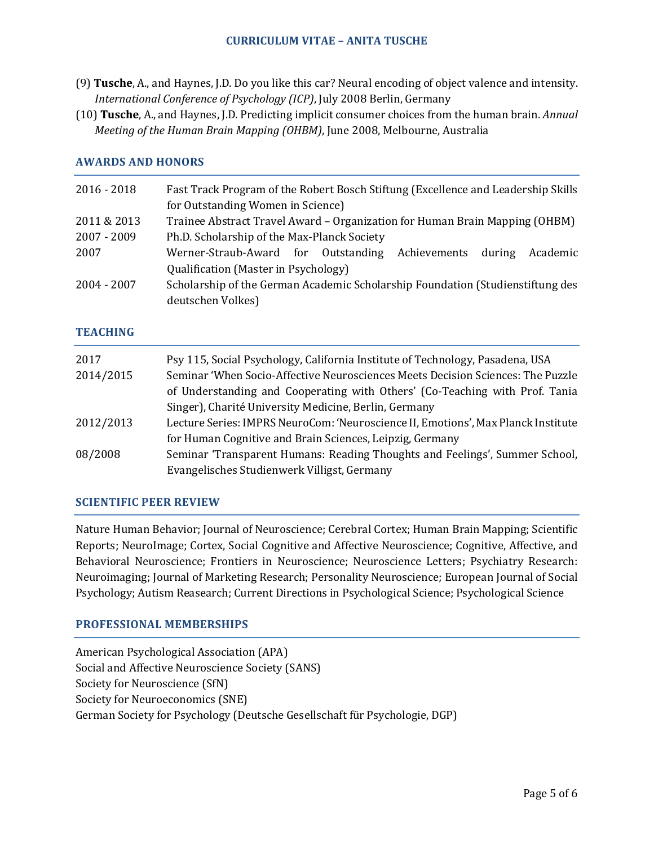- (9) Tusche, A., and Haynes, J.D. Do you like this car? Neural encoding of object valence and intensity. *International Conference of Psychology (ICP)*, July 2008 Berlin, Germany
- (10) **Tusche**, A., and Haynes, J.D. Predicting implicit consumer choices from the human brain. *Annual Meeting of the Human Brain Mapping (OHBM)*, June 2008, Melbourne, Australia

## **AWARDS AND HONORS**

| $2016 - 2018$ | Fast Track Program of the Robert Bosch Stiftung (Excellence and Leadership Skills |  |
|---------------|-----------------------------------------------------------------------------------|--|
|               | for Outstanding Women in Science)                                                 |  |
| 2011 & 2013   | Trainee Abstract Travel Award - Organization for Human Brain Mapping (OHBM)       |  |
| 2007 - 2009   | Ph.D. Scholarship of the Max-Planck Society                                       |  |
| 2007          | Werner-Straub-Award for Outstanding Achievements during<br>Academic               |  |
|               | Qualification (Master in Psychology)                                              |  |
| 2004 - 2007   | Scholarship of the German Academic Scholarship Foundation (Studienstiftung des    |  |
|               | deutschen Volkes)                                                                 |  |

### **TEACHING**

| 2017<br>2014/2015 | Psy 115, Social Psychology, California Institute of Technology, Pasadena, USA<br>Seminar 'When Socio-Affective Neurosciences Meets Decision Sciences: The Puzzle<br>of Understanding and Cooperating with Others' (Co-Teaching with Prof. Tania |
|-------------------|-------------------------------------------------------------------------------------------------------------------------------------------------------------------------------------------------------------------------------------------------|
|                   | Singer), Charité University Medicine, Berlin, Germany                                                                                                                                                                                           |
| 2012/2013         | Lecture Series: IMPRS NeuroCom: 'Neuroscience II, Emotions', Max Planck Institute                                                                                                                                                               |
|                   | for Human Cognitive and Brain Sciences, Leipzig, Germany                                                                                                                                                                                        |
| 08/2008           | Seminar 'Transparent Humans: Reading Thoughts and Feelings', Summer School,                                                                                                                                                                     |
|                   | Evangelisches Studienwerk Villigst, Germany                                                                                                                                                                                                     |

## **SCIENTIFIC PEER REVIEW**

Nature Human Behavior; Journal of Neuroscience; Cerebral Cortex; Human Brain Mapping; Scientific Reports; NeuroImage; Cortex, Social Cognitive and Affective Neuroscience; Cognitive, Affective, and Behavioral Neuroscience; Frontiers in Neuroscience; Neuroscience Letters; Psychiatry Research: Neuroimaging; Journal of Marketing Research; Personality Neuroscience; European Journal of Social Psychology; Autism Reasearch; Current Directions in Psychological Science; Psychological Science

#### **PROFESSIONAL MEMBERSHIPS**

American Psychological Association (APA) Social and Affective Neuroscience Society (SANS) Society for Neuroscience (SfN) Society for Neuroeconomics (SNE) German Society for Psychology (Deutsche Gesellschaft für Psychologie, DGP)